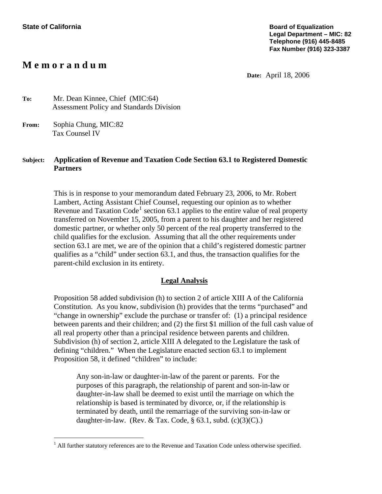## **M e m o r a n d u m**

**Date:** April 18, 2006

**To:** Mr. Dean Kinnee, Chief (MIC:64) Assessment Policy and Standards Division

**From:** Sophia Chung, MIC:82 Tax Counsel IV

i<br>Li

## **Subject: Application of Revenue and Taxation Code Section 63.1 to Registered Domestic Partners**

This is in response to your memorandum dated February 23, 2006, to Mr. Robert Lambert, Acting Assistant Chief Counsel, requesting our opinion as to whether Revenue and Taxation Code<sup>[1](#page-0-0)</sup> section 63.1 applies to the entire value of real property transferred on November 15, 2005, from a parent to his daughter and her registered domestic partner, or whether only 50 percent of the real property transferred to the child qualifies for the exclusion. Assuming that all the other requirements under section 63.1 are met, we are of the opinion that a child's registered domestic partner qualifies as a "child" under section 63.1, and thus, the transaction qualifies for the parent-child exclusion in its entirety.

## **Legal Analysis**

Proposition 58 added subdivision (h) to section 2 of article XIII A of the California Constitution. As you know, subdivision (h) provides that the terms "purchased" and "change in ownership" exclude the purchase or transfer of: (1) a principal residence between parents and their children; and (2) the first \$1 million of the full cash value of all real property other than a principal residence between parents and children. Subdivision (h) of section 2, article XIII A delegated to the Legislature the task of defining "children." When the Legislature enacted section 63.1 to implement Proposition 58, it defined "children" to include:

Any son-in-law or daughter-in-law of the parent or parents. For the purposes of this paragraph, the relationship of parent and son-in-law or daughter-in-law shall be deemed to exist until the marriage on which the relationship is based is terminated by divorce, or, if the relationship is terminated by death, until the remarriage of the surviving son-in-law or daughter-in-law. (Rev. & Tax. Code,  $\S$  63.1, subd. (c)(3)(C).)

<span id="page-0-0"></span> $<sup>1</sup>$  All further statutory references are to the Revenue and Taxation Code unless otherwise specified.</sup>